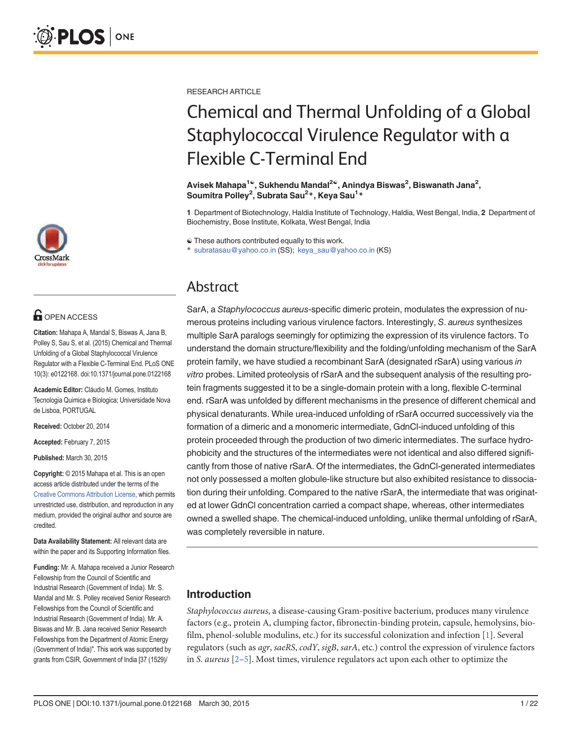

# **OPEN ACCESS**

Citation: Mahapa A, Mandal S, Biswas A, Jana B, Polley S, Sau S, et al. (2015) Chemical and Thermal Unfolding of a Global Staphylococcal Virulence Regulator with a Flexible C-Terminal End. PLoS ONE 10(3): e0122168. doi:10.1371/journal.pone.0122168

Academic Editor: Cláudio M. Gomes, Instituto Tecnologia Quimica e Biologica; Universidade Nova de Lisboa, PORTUGAL

Received: October 20, 2014

Accepted: February 7, 2015

Published: March 30, 2015

Copyright: © 2015 Mahapa et al. This is an open access article distributed under the terms of the Creative Commons Attribution License, which permits unrestricted use, distribution, and reproduction in any medium, provided the original author and source are credited.

Data Availability Statement: All relevant data are within the paper and its Supporting Information files.

Funding: Mr. A. Mahapa received a Junior Research Fellowship from the Council of Scientific and Industrial Research (Government of India). Mr. S. Mandal and Mr. S. Polley received Senior Research Fellowships from the Council of Scientific and Industrial Research (Government of India). Mr. A. Biswas and Mr. B. Jana received Senior Research Fellowships from the Department of Atomic Energy (Government of India)". This work was supported by grants from CSIR, Government of India [37 (1529)/

RESEARCH ARTICLE

# Chemical and Thermal Unfolding of a Global Staphylococcal Virulence Regulator with a Flexible C-Terminal End

Avisek Mahapa<sup>1©</sup>, Sukhendu Mandal<sup>2©</sup>, Anindya Biswas<sup>2</sup>, Biswanath Jana<sup>2</sup>, Soumitra Polley<sup>2</sup>, Subrata Sau<sup>2</sup>\*, Keya Sau<sup>1</sup>\*

1 Department of Biotechnology, Haldia Institute of Technology, Haldia, West Bengal, India, 2 Department of Biochemistry, Bose Institute, Kolkata, West Bengal, India

☯ These authors contributed equally to this work.

subratasau@yahoo.co.in (SS); keya\_sau@yahoo.co.in (KS)

## Abstract

SarA, a Staphylococcus aureus-specific dimeric protein, modulates the expression of numerous proteins including various virulence factors. Interestingly, S. aureus synthesizes multiple SarA paralogs seemingly for optimizing the expression of its virulence factors. To understand the domain structure/flexibility and the folding/unfolding mechanism of the SarA protein family, we have studied a recombinant SarA (designated rSarA) using various in vitro probes. Limited proteolysis of rSarA and the subsequent analysis of the resulting protein fragments suggested it to be a single-domain protein with a long, flexible C-terminal end. rSarA was unfolded by different mechanisms in the presence of different chemical and physical denaturants. While urea-induced unfolding of rSarA occurred successively via the formation of a dimeric and a monomeric intermediate, GdnCl-induced unfolding of this protein proceeded through the production of two dimeric intermediates. The surface hydrophobicity and the structures of the intermediates were not identical and also differed significantly from those of native rSarA. Of the intermediates, the GdnCl-generated intermediates not only possessed a molten globule-like structure but also exhibited resistance to dissociation during their unfolding. Compared to the native rSarA, the intermediate that was originated at lower GdnCl concentration carried a compact shape, whereas, other intermediates owned a swelled shape. The chemical-induced unfolding, unlike thermal unfolding of rSarA, was completely reversible in nature.

## Introduction

Staphylococcus aureus, a disease-causing Gram-positive bacterium, produces many virulence factors (e.g., protein A, clumping factor, fibronectin-binding protein, capsule, hemolysins, biofilm, phenol-soluble modulins, etc.) for its successful colonization and infection [1]. Several regulators (such as agr, saeRS, codY, sigB, sarA, etc.) control the expression of virulence factors in S. aureus  $[2-5]$ . Most times, virulence regulators act upon each other to optimize the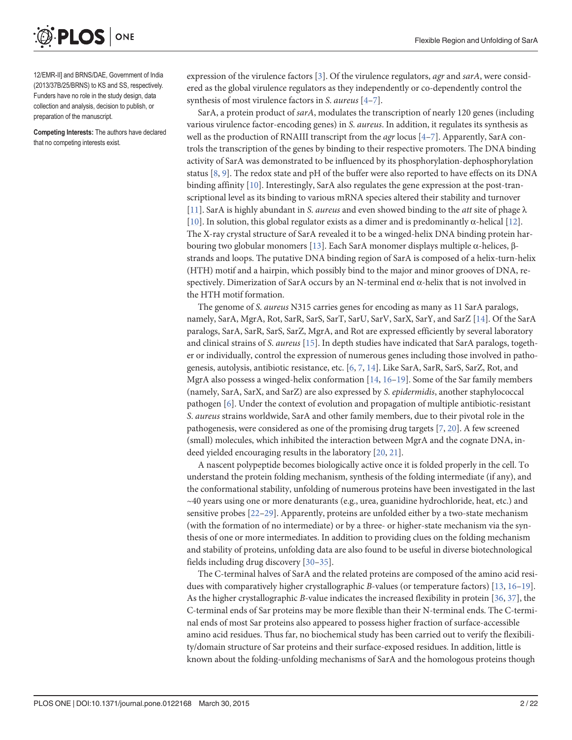

12/EMR-II] and BRNS/DAE, Government of India (2013/37B/25/BRNS) to KS and SS, respectively. Funders have no role in the study design, data collection and analysis, decision to publish, or preparation of the manuscript.

Competing Interests: The authors have declared that no competing interests exist.

expression of the virulence factors [3]. Of the virulence regulators, *agr* and *sarA*, were considered as the global virulence regulators as they independently or co-dependently control the synthesis of most virulence factors in S. aureus [4–7].

SarA, a protein product of sarA, modulates the transcription of nearly 120 genes (including various virulence factor-encoding genes) in S. aureus. In addition, it regulates its synthesis as well as the production of RNAIII transcript from the *agr* locus  $[4-7]$ . Apparently, SarA controls the transcription of the genes by binding to their respective promoters. The DNA binding activity of SarA was demonstrated to be influenced by its phosphorylation-dephosphorylation status  $[8, 9]$ . The redox state and pH of the buffer were also reported to have effects on its DNA binding affinity  $[10]$ . Interestingly, SarA also regulates the gene expression at the post-transcriptional level as its binding to various mRNA species altered their stability and turnover [11]. SarA is highly abundant in S. *aureus* and even showed binding to the *att* site of phage  $\lambda$ [10]. In solution, this global regulator exists as a dimer and is predominantly  $\alpha$ -helical [12]. The X-ray crystal structure of SarA revealed it to be a winged-helix DNA binding protein harbouring two globular monomers [13]. Each SarA monomer displays multiple α-helices, βstrands and loops. The putative DNA binding region of SarA is composed of a helix-turn-helix (HTH) motif and a hairpin, which possibly bind to the major and minor grooves of DNA, respectively. Dimerization of SarA occurs by an N-terminal end  $\alpha$ -helix that is not involved in the HTH motif formation.

The genome of S. aureus N315 carries genes for encoding as many as 11 SarA paralogs, namely, SarA, MgrA, Rot, SarR, SarS, SarT, SarU, SarV, SarX, SarY, and SarZ [14]. Of the SarA paralogs, SarA, SarR, SarS, SarZ, MgrA, and Rot are expressed efficiently by several laboratory and clinical strains of S. aureus [15]. In depth studies have indicated that SarA paralogs, together or individually, control the expression of numerous genes including those involved in pathogenesis, autolysis, antibiotic resistance, etc. [6, 7, 14]. Like SarA, SarR, SarS, SarZ, Rot, and MgrA also possess a winged-helix conformation [14, 16–19]. Some of the Sar family members (namely, SarA, SarX, and SarZ) are also expressed by S. epidermidis, another staphylococcal pathogen [6]. Under the context of evolution and propagation of multiple antibiotic-resistant S. aureus strains worldwide, SarA and other family members, due to their pivotal role in the pathogenesis, were considered as one of the promising drug targets [7, 20]. A few screened (small) molecules, which inhibited the interaction between MgrA and the cognate DNA, indeed yielded encouraging results in the laboratory [20, 21].

A nascent polypeptide becomes biologically active once it is folded properly in the cell. To understand the protein folding mechanism, synthesis of the folding intermediate (if any), and the conformational stability, unfolding of numerous proteins have been investigated in the last  $\sim$ 40 years using one or more denaturants (e.g., urea, guanidine hydrochloride, heat, etc.) and sensitive probes [22–29]. Apparently, proteins are unfolded either by a two-state mechanism (with the formation of no intermediate) or by a three- or higher-state mechanism via the synthesis of one or more intermediates. In addition to providing clues on the folding mechanism and stability of proteins, unfolding data are also found to be useful in diverse biotechnological fields including drug discovery [30–35].

The C-terminal halves of SarA and the related proteins are composed of the amino acid residues with comparatively higher crystallographic B-values (or temperature factors)  $[13, 16-19]$ . As the higher crystallographic B-value indicates the increased flexibility in protein [36, 37], the C-terminal ends of Sar proteins may be more flexible than their N-terminal ends. The C-terminal ends of most Sar proteins also appeared to possess higher fraction of surface-accessible amino acid residues. Thus far, no biochemical study has been carried out to verify the flexibility/domain structure of Sar proteins and their surface-exposed residues. In addition, little is known about the folding-unfolding mechanisms of SarA and the homologous proteins though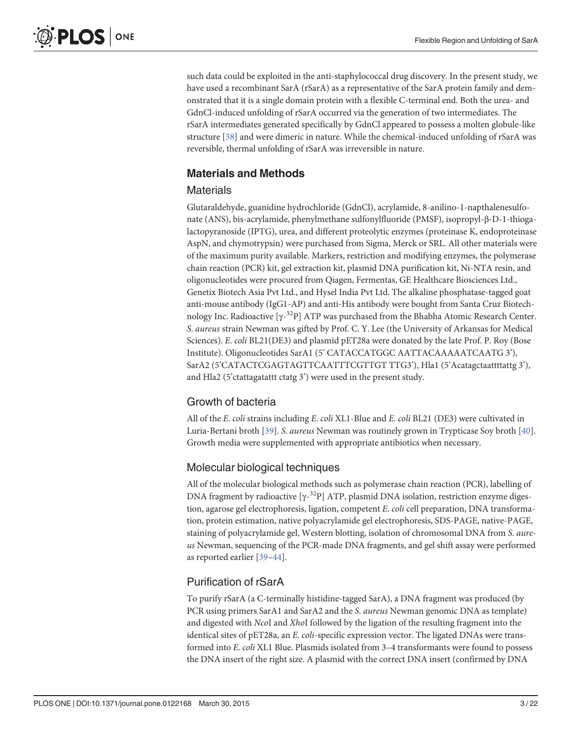such data could be exploited in the anti-staphylococcal drug discovery. In the present study, we have used a recombinant SarA (rSarA) as a representative of the SarA protein family and demonstrated that it is a single domain protein with a flexible C-terminal end. Both the urea- and GdnCl-induced unfolding of rSarA occurred via the generation of two intermediates. The rSarA intermediates generated specifically by GdnCl appeared to possess a molten globule-like structure [38] and were dimeric in nature. While the chemical-induced unfolding of rSarA was reversible, thermal unfolding of rSarA was irreversible in nature.

## Materials and Methods

## **Materials**

Glutaraldehyde, guanidine hydrochloride (GdnCl), acrylamide, 8-anilino-1-napthalenesulfonate (ANS), bis-acrylamide, phenylmethane sulfonylfluoride (PMSF), isopropyl-β-D-1-thiogalactopyranoside (IPTG), urea, and different proteolytic enzymes (proteinase K, endoproteinase AspN, and chymotrypsin) were purchased from Sigma, Merck or SRL. All other materials were of the maximum purity available. Markers, restriction and modifying enzymes, the polymerase chain reaction (PCR) kit, gel extraction kit, plasmid DNA purification kit, Ni-NTA resin, and oligonucleotides were procured from Qiagen, Fermentas, GE Healthcare Biosciences Ltd., Genetix Biotech Asia Pvt Ltd., and Hysel India Pvt Ltd. The alkaline phosphatase-tagged goat anti-mouse antibody (IgG1-AP) and anti-His antibody were bought from Santa Cruz Biotechnology Inc. Radioactive [γ-<sup>32</sup>P] ATP was purchased from the Bhabha Atomic Research Center. S. aureus strain Newman was gifted by Prof. C. Y. Lee (the University of Arkansas for Medical Sciences). E. coli BL21(DE3) and plasmid pET28a were donated by the late Prof. P. Roy (Bose Institute). Oligonucleotides SarA1 (5' CATACCATGGC AATTACAAAAATCAATG 3'), SarA2 (5'CATACTCGAGTAGTTCAATTTCGTTGT TTG3'), Hla1 (5'Acatagctaattttattg 3'), and Hla2 (5'ctattagatattt ctatg 3') were used in the present study.

## Growth of bacteria

All of the E. coli strains including E. coli XL1-Blue and E. coli BL21 (DE3) were cultivated in Luria-Bertani broth [39]. S. aureus Newman was routinely grown in Trypticase Soy broth [40]. Growth media were supplemented with appropriate antibiotics when necessary.

## Molecular biological techniques

All of the molecular biological methods such as polymerase chain reaction (PCR), labelling of DNA fragment by radioactive  $[\gamma^{-32}P]$  ATP, plasmid DNA isolation, restriction enzyme digestion, agarose gel electrophoresis, ligation, competent E. coli cell preparation, DNA transformation, protein estimation, native polyacrylamide gel electrophoresis, SDS-PAGE, native-PAGE, staining of polyacrylamide gel, Western blotting, isolation of chromosomal DNA from S. aureus Newman, sequencing of the PCR-made DNA fragments, and gel shift assay were performed as reported earlier [39–44].

## Purification of rSarA

To purify rSarA (a C-terminally histidine-tagged SarA), a DNA fragment was produced (by PCR using primers SarA1 and SarA2 and the S. aureus Newman genomic DNA as template) and digested with NcoI and XhoI followed by the ligation of the resulting fragment into the identical sites of pET28a, an E. coli-specific expression vector. The ligated DNAs were transformed into E. coli XL1 Blue. Plasmids isolated from 3–4 transformants were found to possess the DNA insert of the right size. A plasmid with the correct DNA insert (confirmed by DNA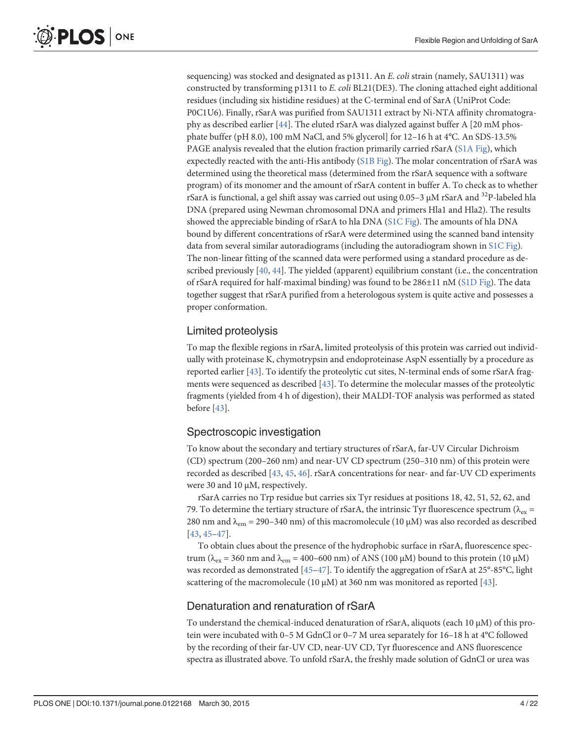sequencing) was stocked and designated as p1311. An E. coli strain (namely, SAU1311) was constructed by transforming p1311 to E. coli BL21(DE3). The cloning attached eight additional residues (including six histidine residues) at the C-terminal end of SarA (UniProt Code: P0C1U6). Finally, rSarA was purified from SAU1311 extract by Ni-NTA affinity chromatography as described earlier [44]. The eluted rSarA was dialyzed against buffer A [20 mM phosphate buffer (pH 8.0), 100 mM NaCl, and 5% glycerol] for 12–16 h at 4°C. An SDS-13.5% PAGE analysis revealed that the elution fraction primarily carried rSarA (S1A Fig), which expectedly reacted with the anti-His antibody (S1B Fig). The molar concentration of rSarA was determined using the theoretical mass (determined from the rSarA sequence with a software program) of its monomer and the amount of rSarA content in buffer A. To check as to whether rSarA is functional, a gel shift assay was carried out using  $0.05-3 \mu M$  rSarA and <sup>32</sup>P-labeled hla DNA (prepared using Newman chromosomal DNA and primers Hla1 and Hla2). The results showed the appreciable binding of rSarA to hla DNA (S1C Fig). The amounts of hla DNA bound by different concentrations of rSarA were determined using the scanned band intensity data from several similar autoradiograms (including the autoradiogram shown in S1C Fig). The non-linear fitting of the scanned data were performed using a standard procedure as described previously  $[40, 44]$ . The yielded (apparent) equilibrium constant (i.e., the concentration of rSarA required for half-maximal binding) was found to be 286±11 nM (S1D Fig). The data together suggest that rSarA purified from a heterologous system is quite active and possesses a proper conformation.

## Limited proteolysis

To map the flexible regions in rSarA, limited proteolysis of this protein was carried out individually with proteinase K, chymotrypsin and endoproteinase AspN essentially by a procedure as reported earlier [43]. To identify the proteolytic cut sites, N-terminal ends of some rSarA fragments were sequenced as described [43]. To determine the molecular masses of the proteolytic fragments (yielded from 4 h of digestion), their MALDI-TOF analysis was performed as stated before [43].

## Spectroscopic investigation

To know about the secondary and tertiary structures of rSarA, far-UV Circular Dichroism (CD) spectrum (200–260 nm) and near-UV CD spectrum (250–310 nm) of this protein were recorded as described [43, 45, 46]. rSarA concentrations for near- and far-UV CD experiments were 30 and 10 μM, respectively.

rSarA carries no Trp residue but carries six Tyr residues at positions 18, 42, 51, 52, 62, and 79. To determine the tertiary structure of rSarA, the intrinsic Tyr fluorescence spectrum ( $\lambda_{ex}$  = 280 nm and  $\lambda_{\rm em}$  = 290–340 nm) of this macromolecule (10 µM) was also recorded as described  $[43, 45-47]$ .

To obtain clues about the presence of the hydrophobic surface in rSarA, fluorescence spectrum (λ<sub>ex</sub> = 360 nm and λ<sub>em</sub> = 400–600 nm) of ANS (100 μM) bound to this protein (10 μM) was recorded as demonstrated  $[45-47]$ . To identify the aggregation of rSarA at 25°-85°C, light scattering of the macromolecule (10  $\mu$ M) at 360 nm was monitored as reported [43].

## Denaturation and renaturation of rSarA

To understand the chemical-induced denaturation of rSarA, aliquots (each 10 μM) of this protein were incubated with 0–5 M GdnCl or 0–7 M urea separately for 16–18 h at 4°C followed by the recording of their far-UV CD, near-UV CD, Tyr fluorescence and ANS fluorescence spectra as illustrated above. To unfold rSarA, the freshly made solution of GdnCl or urea was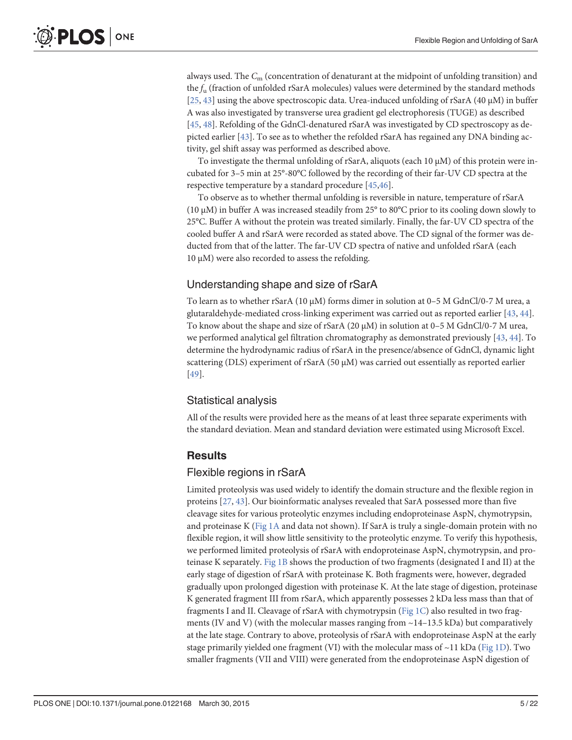always used. The  $C_m$  (concentration of denaturant at the midpoint of unfolding transition) and the  $f<sub>u</sub>$  (fraction of unfolded rSarA molecules) values were determined by the standard methods  $[25, 43]$  using the above spectroscopic data. Urea-induced unfolding of rSarA (40  $\mu$ M) in buffer A was also investigated by transverse urea gradient gel electrophoresis (TUGE) as described [45, 48]. Refolding of the GdnCl-denatured rSarA was investigated by CD spectroscopy as depicted earlier [43]. To see as to whether the refolded rSarA has regained any DNA binding activity, gel shift assay was performed as described above.

To investigate the thermal unfolding of rSarA, aliquots (each 10 μM) of this protein were incubated for 3–5 min at 25°-80°C followed by the recording of their far-UV CD spectra at the respective temperature by a standard procedure [45,46].

To observe as to whether thermal unfolding is reversible in nature, temperature of rSarA (10 μM) in buffer A was increased steadily from 25° to 80°C prior to its cooling down slowly to 25°C. Buffer A without the protein was treated similarly. Finally, the far-UV CD spectra of the cooled buffer A and rSarA were recorded as stated above. The CD signal of the former was deducted from that of the latter. The far-UV CD spectra of native and unfolded rSarA (each  $10$  μM) were also recorded to assess the refolding.

#### Understanding shape and size of rSarA

To learn as to whether rSarA (10 μM) forms dimer in solution at 0–5 M GdnCl/0-7 M urea, a glutaraldehyde-mediated cross-linking experiment was carried out as reported earlier [43, 44]. To know about the shape and size of rSarA (20  $\mu$ M) in solution at 0–5 M GdnCl/0-7 M urea, we performed analytical gel filtration chromatography as demonstrated previously  $[43, 44]$ . To determine the hydrodynamic radius of rSarA in the presence/absence of GdnCl, dynamic light scattering (DLS) experiment of rSarA (50 μM) was carried out essentially as reported earlier [49].

#### Statistical analysis

All of the results were provided here as the means of at least three separate experiments with the standard deviation. Mean and standard deviation were estimated using Microsoft Excel.

## **Results**

#### Flexible regions in rSarA

Limited proteolysis was used widely to identify the domain structure and the flexible region in proteins [27, 43]. Our bioinformatic analyses revealed that SarA possessed more than five cleavage sites for various proteolytic enzymes including endoproteinase AspN, chymotrypsin, and proteinase K (Fig 1A and data not shown). If SarA is truly a single-domain protein with no flexible region, it will show little sensitivity to the proteolytic enzyme. To verify this hypothesis, we performed limited proteolysis of rSarA with endoproteinase AspN, chymotrypsin, and proteinase K separately. Fig 1B shows the production of two fragments (designated I and II) at the early stage of digestion of rSarA with proteinase K. Both fragments were, however, degraded gradually upon prolonged digestion with proteinase K. At the late stage of digestion, proteinase K generated fragment III from rSarA, which apparently possesses 2 kDa less mass than that of fragments I and II. Cleavage of rSarA with chymotrypsin (Fig 1C) also resulted in two fragments (IV and V) (with the molecular masses ranging from  $\sim$  14–13.5 kDa) but comparatively at the late stage. Contrary to above, proteolysis of rSarA with endoproteinase AspN at the early stage primarily yielded one fragment (VI) with the molecular mass of  $\sim$ 11 kDa (Fig 1D). Two smaller fragments (VII and VIII) were generated from the endoproteinase AspN digestion of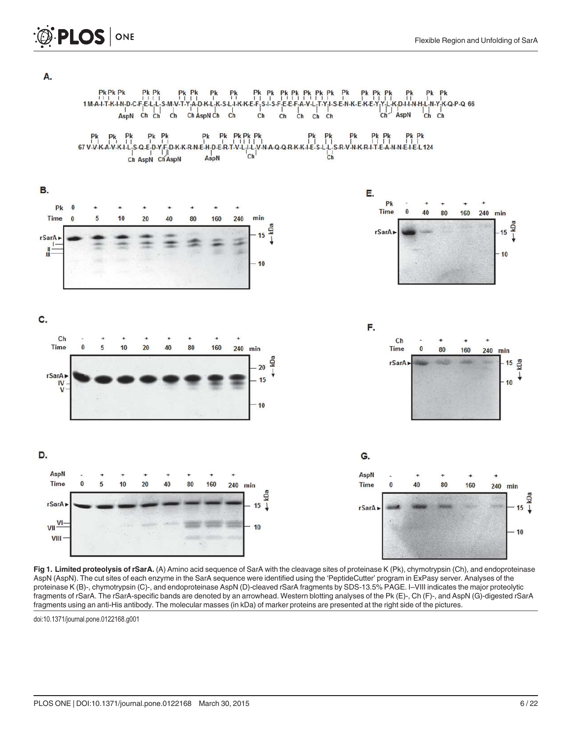

Fig 1. Limited proteolysis of rSarA. (A) Amino acid sequence of SarA with the cleavage sites of proteinase K (Pk), chymotrypsin (Ch), and endoproteinase AspN (AspN). The cut sites of each enzyme in the SarA sequence were identified using the 'PeptideCutter' program in ExPasy server. Analyses of the proteinase K (B)-, chymotrypsin (C)-, and endoproteinase AspN (D)-cleaved rSarA fragments by SDS-13.5% PAGE. I–VIII indicates the major proteolytic fragments of rSarA. The rSarA-specific bands are denoted by an arrowhead. Western blotting analyses of the Pk (E)-, Ch (F)-, and AspN (G)-digested rSarA fragments using an anti-His antibody. The molecular masses (in kDa) of marker proteins are presented at the right side of the pictures.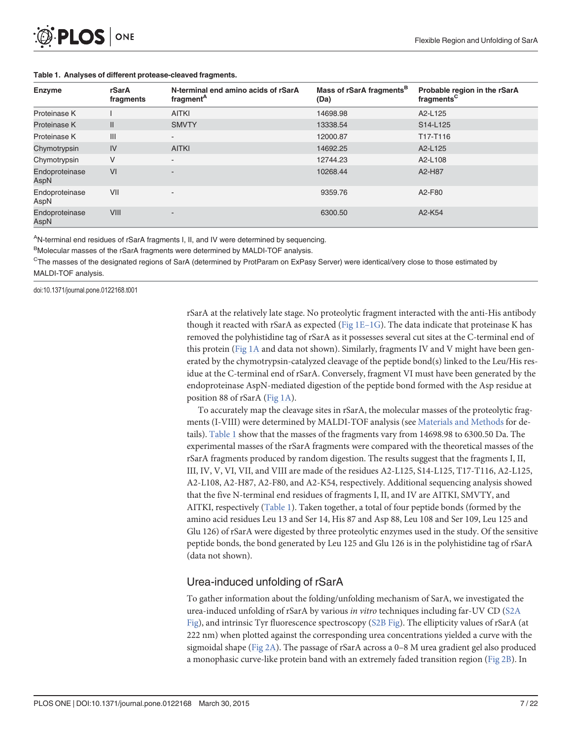

| <b>Enzyme</b>          | rSarA         | N-terminal end amino acids of rSarA | Mass of rSarA fragments <sup>B</sup> | Probable region in the rSarA     |
|------------------------|---------------|-------------------------------------|--------------------------------------|----------------------------------|
|                        | fragments     | fragment <sup>A</sup>               | (Da)                                 | fragments <sup>C</sup>           |
| Proteinase K           |               | <b>AITKI</b>                        | 14698.98                             | A2-L125                          |
| Proteinase K           | $\mathbf{II}$ | <b>SMVTY</b>                        | 13338.54                             | S14-L125                         |
| Proteinase K           | III           | $\overline{\phantom{a}}$            | 12000.87                             | T17-T116                         |
| Chymotrypsin           | IV            | <b>AITKI</b>                        | 14692.25                             | A <sub>2</sub> -L <sub>125</sub> |
| Chymotrypsin           | V             | $\overline{\phantom{a}}$            | 12744.23                             | A2-L108                          |
| Endoproteinase<br>AspN | <b>VI</b>     | $\overline{\phantom{a}}$            | 10268.44                             | A2-H87                           |
| Endoproteinase<br>AspN | VII           | $\overline{\phantom{a}}$            | 9359.76                              | A2-F80                           |
| Endoproteinase<br>AspN | VIII          |                                     | 6300.50                              | A2-K54                           |

#### Table 1. Analyses of different protease-cleaved fragments.

<sup>A</sup>N-terminal end residues of rSarA fragments I, II, and IV were determined by sequencing.

BMolecular masses of the rSarA fragments were determined by MALDI-TOF analysis.

 $\rm ^C$ The masses of the designated regions of SarA (determined by ProtParam on ExPasy Server) were identical/very close to those estimated by MALDI-TOF analysis.

doi:10.1371/journal.pone.0122168.t001

rSarA at the relatively late stage. No proteolytic fragment interacted with the anti-His antibody though it reacted with rSarA as expected (Fig  $1E-1G$ ). The data indicate that proteinase K has removed the polyhistidine tag of rSarA as it possesses several cut sites at the C-terminal end of this protein (Fig  $1A$  and data not shown). Similarly, fragments IV and V might have been generated by the chymotrypsin-catalyzed cleavage of the peptide bond(s) linked to the Leu/His residue at the C-terminal end of rSarA. Conversely, fragment VI must have been generated by the endoproteinase AspN-mediated digestion of the peptide bond formed with the Asp residue at position 88 of rSarA (Fig 1A).

To accurately map the cleavage sites in rSarA, the molecular masses of the proteolytic fragments (I-VIII) were determined by MALDI-TOF analysis (see Materials and Methods for details). Table 1 show that the masses of the fragments vary from 14698.98 to 6300.50 Da. The experimental masses of the rSarA fragments were compared with the theoretical masses of the rSarA fragments produced by random digestion. The results suggest that the fragments I, II, III, IV, V, VI, VII, and VIII are made of the residues A2-L125, S14-L125, T17-T116, A2-L125, A2-L108, A2-H87, A2-F80, and A2-K54, respectively. Additional sequencing analysis showed that the five N-terminal end residues of fragments I, II, and IV are AITKI, SMVTY, and AITKI, respectively (Table 1). Taken together, a total of four peptide bonds (formed by the amino acid residues Leu 13 and Ser 14, His 87 and Asp 88, Leu 108 and Ser 109, Leu 125 and Glu 126) of rSarA were digested by three proteolytic enzymes used in the study. Of the sensitive peptide bonds, the bond generated by Leu 125 and Glu 126 is in the polyhistidine tag of rSarA (data not shown).

## Urea-induced unfolding of rSarA

To gather information about the folding/unfolding mechanism of SarA, we investigated the urea-induced unfolding of rSarA by various in vitro techniques including far-UV CD  $(S2A)$ Fig), and intrinsic Tyr fluorescence spectroscopy (S2B Fig). The ellipticity values of rSarA (at 222 nm) when plotted against the corresponding urea concentrations yielded a curve with the sigmoidal shape (Fig 2A). The passage of rSarA across a  $0-8$  M urea gradient gel also produced a monophasic curve-like protein band with an extremely faded transition region (Fig 2B). In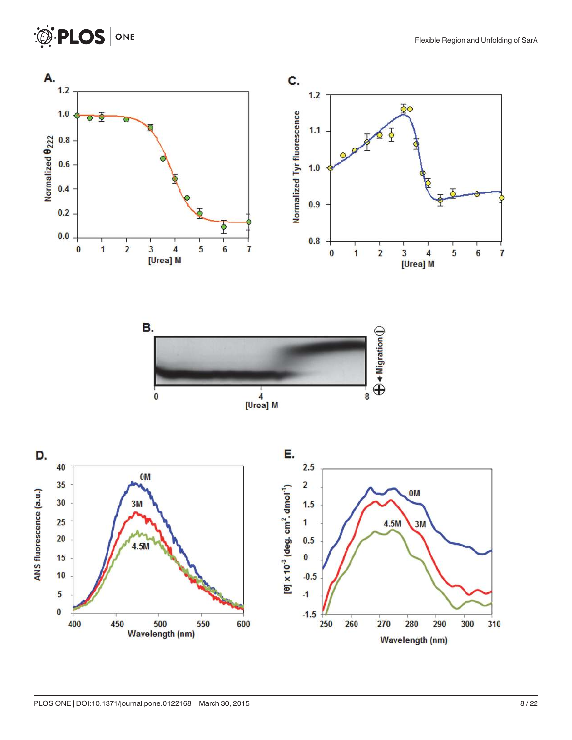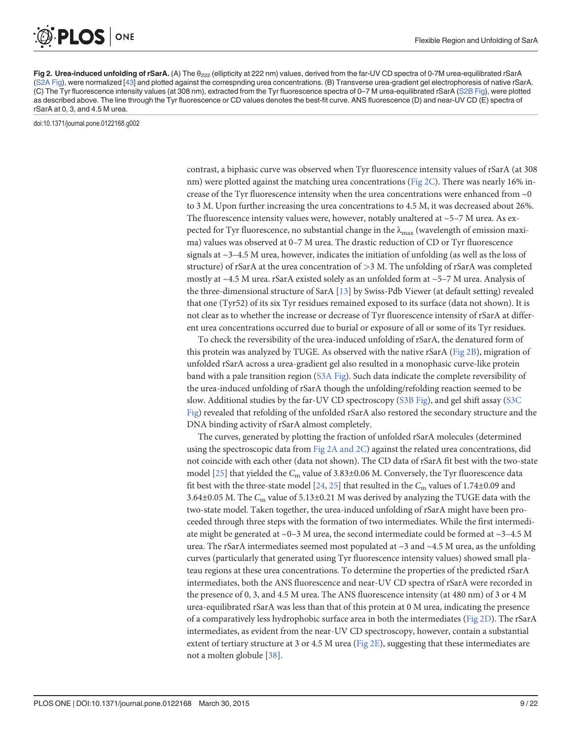

Fig 2. Urea-induced unfolding of rSarA. (A) The  $\theta_{222}$  (ellipticity at 222 nm) values, derived from the far-UV CD spectra of 0-7M urea-equilibrated rSarA (S2A Fig), were normalized [43] and plotted against the correspnding urea concentrations. (B) Transverse urea-gradient gel electrophoresis of native rSarA. (C) The Tyr fluorescence intensity values (at 308 nm), extracted from the Tyr fluorescence spectra of 0–7 M urea-equilibrated rSarA (S2B Fig), were plotted as described above. The line through the Tyr fluorescence or CD values denotes the best-fit curve. ANS fluorescence (D) and near-UV CD (E) spectra of rSarA at 0, 3, and 4.5 M urea.

doi:10.1371/journal.pone.0122168.g002

contrast, a biphasic curve was observed when Tyr fluorescence intensity values of rSarA (at 308 nm) were plotted against the matching urea concentrations (Fig 2C). There was nearly 16% increase of the Tyr fluorescence intensity when the urea concentrations were enhanced from  $\sim$ 0 to 3 M. Upon further increasing the urea concentrations to 4.5 M, it was decreased about 26%. The fluorescence intensity values were, however, notably unaltered at  $\sim$  5–7 M urea. As expected for Tyr fluorescence, no substantial change in the  $\lambda_{\text{max}}$  (wavelength of emission maxima) values was observed at 0–7 M urea. The drastic reduction of CD or Tyr fluorescence signals at  $\sim$ 3–4.5 M urea, however, indicates the initiation of unfolding (as well as the loss of structure) of rSarA at the urea concentration of >3 M. The unfolding of rSarA was completed mostly at ~4.5 M urea. rSarA existed solely as an unfolded form at ~5–7 M urea. Analysis of the three-dimensional structure of SarA [13] by Swiss-Pdb Viewer (at default setting) revealed that one (Tyr52) of its six Tyr residues remained exposed to its surface (data not shown). It is not clear as to whether the increase or decrease of Tyr fluorescence intensity of rSarA at different urea concentrations occurred due to burial or exposure of all or some of its Tyr residues.

To check the reversibility of the urea-induced unfolding of rSarA, the denatured form of this protein was analyzed by TUGE. As observed with the native rSarA (Fig 2B), migration of unfolded rSarA across a urea-gradient gel also resulted in a monophasic curve-like protein band with a pale transition region (S3A Fig). Such data indicate the complete reversibility of the urea-induced unfolding of rSarA though the unfolding/refolding reaction seemed to be slow. Additional studies by the far-UV CD spectroscopy (S3B Fig), and gel shift assay (S3C Fig) revealed that refolding of the unfolded rSarA also restored the secondary structure and the DNA binding activity of rSarA almost completely.

The curves, generated by plotting the fraction of unfolded rSarA molecules (determined using the spectroscopic data from Fig  $2A$  and  $2C$ ) against the related urea concentrations, did not coincide with each other (data not shown). The CD data of rSarA fit best with the two-state model [25] that yielded the  $C_m$  value of 3.83±0.06 M. Conversely, the Tyr fluorescence data fit best with the three-state model  $[24, 25]$  that resulted in the  $C_m$  values of 1.74±0.09 and 3.64 $\pm$ 0.05 M. The  $C_m$  value of 5.13 $\pm$ 0.21 M was derived by analyzing the TUGE data with the two-state model. Taken together, the urea-induced unfolding of rSarA might have been proceeded through three steps with the formation of two intermediates. While the first intermediate might be generated at  $\sim$ 0–3 M urea, the second intermediate could be formed at  $\sim$ 3–4.5 M urea. The rSarA intermediates seemed most populated at  $\sim$ 3 and  $\sim$ 4.5 M urea, as the unfolding curves (particularly that generated using Tyr fluorescence intensity values) showed small plateau regions at these urea concentrations. To determine the properties of the predicted rSarA intermediates, both the ANS fluorescence and near-UV CD spectra of rSarA were recorded in the presence of 0, 3, and 4.5 M urea. The ANS fluorescence intensity (at 480 nm) of 3 or 4 M urea-equilibrated rSarA was less than that of this protein at 0 M urea, indicating the presence of a comparatively less hydrophobic surface area in both the intermediates (Fig 2D). The rSarA intermediates, as evident from the near-UV CD spectroscopy, however, contain a substantial extent of tertiary structure at 3 or 4.5 M urea (Fig  $2E$ ), suggesting that these intermediates are not a molten globule [38].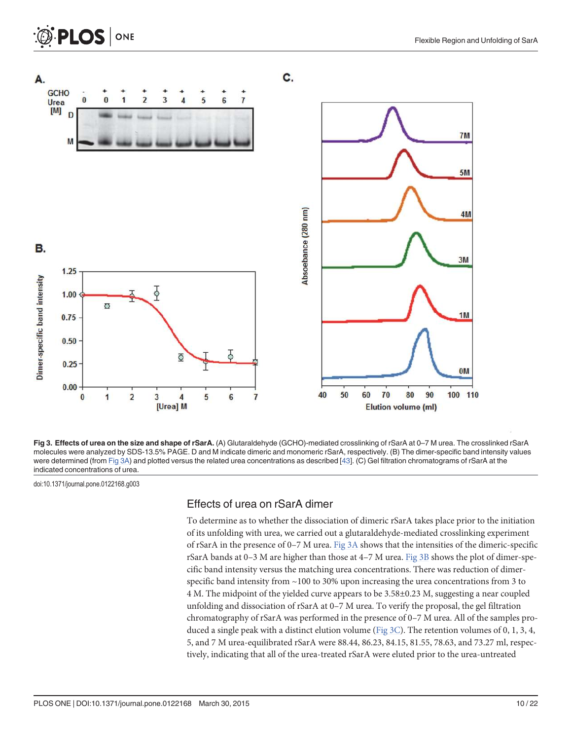

Fig 3. Effects of urea on the size and shape of rSarA. (A) Glutaraldehyde (GCHO)-mediated crosslinking of rSarA at 0-7 M urea. The crosslinked rSarA molecules were analyzed by SDS-13.5% PAGE. D and M indicate dimeric and monomeric rSarA, respectively. (B) The dimer-specific band intensity values were determined (from Fig 3A) and plotted versus the related urea concentrations as described [43]. (C) Gel filtration chromatograms of rSarA at the indicated concentrations of urea.

ONE

**PLOS I** 

#### Effects of urea on rSarA dimer

To determine as to whether the dissociation of dimeric rSarA takes place prior to the initiation of its unfolding with urea, we carried out a glutaraldehyde-mediated crosslinking experiment of rSarA in the presence of 0–7 M urea. Fig 3A shows that the intensities of the dimeric-specific rSarA bands at 0-3 M are higher than those at 4-7 M urea. Fig 3B shows the plot of dimer-specific band intensity versus the matching urea concentrations. There was reduction of dimerspecific band intensity from ~100 to 30% upon increasing the urea concentrations from 3 to 4 M. The midpoint of the yielded curve appears to be 3.58±0.23 M, suggesting a near coupled unfolding and dissociation of rSarA at 0–7 M urea. To verify the proposal, the gel filtration chromatography of rSarA was performed in the presence of 0–7 M urea. All of the samples produced a single peak with a distinct elution volume (Fig 3C). The retention volumes of 0, 1, 3, 4, 5, and 7 M urea-equilibrated rSarA were 88.44, 86.23, 84.15, 81.55, 78.63, and 73.27 ml, respectively, indicating that all of the urea-treated rSarA were eluted prior to the urea-untreated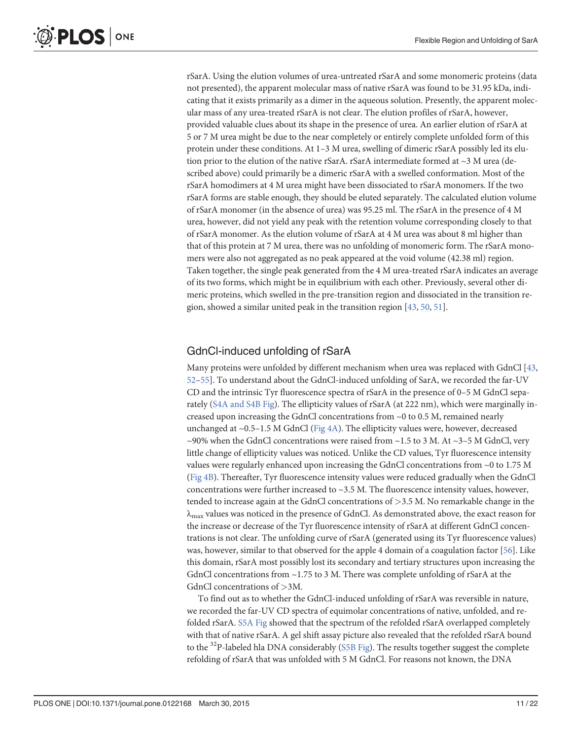rSarA. Using the elution volumes of urea-untreated rSarA and some monomeric proteins (data not presented), the apparent molecular mass of native rSarA was found to be 31.95 kDa, indicating that it exists primarily as a dimer in the aqueous solution. Presently, the apparent molecular mass of any urea-treated rSarA is not clear. The elution profiles of rSarA, however, provided valuable clues about its shape in the presence of urea. An earlier elution of rSarA at 5 or 7 M urea might be due to the near completely or entirely complete unfolded form of this protein under these conditions. At 1–3 M urea, swelling of dimeric rSarA possibly led its elution prior to the elution of the native rSarA. rSarA intermediate formed at  $\sim$ 3 M urea (described above) could primarily be a dimeric rSarA with a swelled conformation. Most of the rSarA homodimers at 4 M urea might have been dissociated to rSarA monomers. If the two rSarA forms are stable enough, they should be eluted separately. The calculated elution volume of rSarA monomer (in the absence of urea) was 95.25 ml. The rSarA in the presence of 4 M urea, however, did not yield any peak with the retention volume corresponding closely to that of rSarA monomer. As the elution volume of rSarA at 4 M urea was about 8 ml higher than that of this protein at 7 M urea, there was no unfolding of monomeric form. The rSarA monomers were also not aggregated as no peak appeared at the void volume (42.38 ml) region. Taken together, the single peak generated from the 4 M urea-treated rSarA indicates an average of its two forms, which might be in equilibrium with each other. Previously, several other dimeric proteins, which swelled in the pre-transition region and dissociated in the transition region, showed a similar united peak in the transition region [43, 50, 51].

## GdnCl-induced unfolding of rSarA

Many proteins were unfolded by different mechanism when urea was replaced with GdnCl [43, 52–55]. To understand about the GdnCl-induced unfolding of SarA, we recorded the far-UV CD and the intrinsic Tyr fluorescence spectra of rSarA in the presence of 0–5 M GdnCl separately (S4A and S4B Fig). The ellipticity values of rSarA (at 222 nm), which were marginally increased upon increasing the GdnCl concentrations from ~0 to 0.5 M, remained nearly unchanged at  $\sim$ 0.5–1.5 M GdnCl (Fig 4A). The ellipticity values were, however, decreased ~90% when the GdnCl concentrations were raised from ~1.5 to 3 M. At ~3–5 M GdnCl, very little change of ellipticity values was noticed. Unlike the CD values, Tyr fluorescence intensity values were regularly enhanced upon increasing the GdnCl concentrations from ~0 to 1.75 M (Fig 4B). Thereafter, Tyr fluorescence intensity values were reduced gradually when the GdnCl concentrations were further increased to  $\sim$ 3.5 M. The fluorescence intensity values, however, tended to increase again at the GdnCl concentrations of >3.5 M. No remarkable change in the λmax values was noticed in the presence of GdnCl. As demonstrated above, the exact reason for the increase or decrease of the Tyr fluorescence intensity of rSarA at different GdnCl concentrations is not clear. The unfolding curve of rSarA (generated using its Tyr fluorescence values) was, however, similar to that observed for the apple 4 domain of a coagulation factor  $[56]$ . Like this domain, rSarA most possibly lost its secondary and tertiary structures upon increasing the GdnCl concentrations from ~1.75 to 3 M. There was complete unfolding of rSarA at the GdnCl concentrations of >3M.

To find out as to whether the GdnCl-induced unfolding of rSarA was reversible in nature, we recorded the far-UV CD spectra of equimolar concentrations of native, unfolded, and refolded rSarA. S5A Fig showed that the spectrum of the refolded rSarA overlapped completely with that of native rSarA. A gel shift assay picture also revealed that the refolded rSarA bound to the  $32P$ -labeled hla DNA considerably (S5B Fig). The results together suggest the complete refolding of rSarA that was unfolded with 5 M GdnCl. For reasons not known, the DNA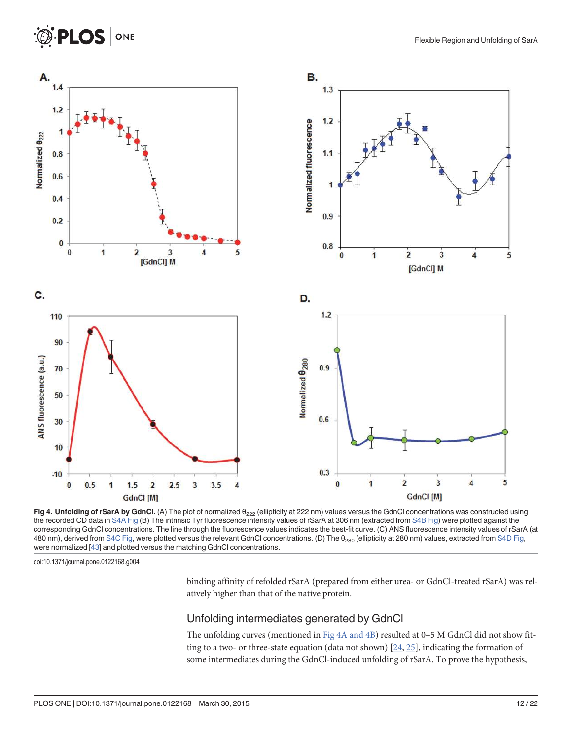

Fig 4. Unfolding of rSarA by GdnCl. (A) The plot of normalized  $\theta_{222}$  (ellipticity at 222 nm) values versus the GdnCl concentrations was constructed using the recorded CD data in S4A Fig (B) The intrinsic Tyr fluorescence intensity values of rSarA at 306 nm (extracted from S4B Fig) were plotted against the corresponding GdnCl concentrations. The line through the fluorescence values indicates the best-fit curve. (C) ANS fluorescence intensity values of rSarA (at 480 nm), derived from S4C Fig, were plotted versus the relevant GdnCl concentrations. (D) The  $\theta_{280}$  (ellipticity at 280 nm) values, extracted from S4D Fig, were normalized [43] and plotted versus the matching GdnCl concentrations.

binding affinity of refolded rSarA (prepared from either urea- or GdnCl-treated rSarA) was relatively higher than that of the native protein.

## Unfolding intermediates generated by GdnCl

The unfolding curves (mentioned in Fig 4A and 4B) resulted at 0–5 M GdnCl did not show fitting to a two- or three-state equation (data not shown) [24, 25], indicating the formation of some intermediates during the GdnCl-induced unfolding of rSarA. To prove the hypothesis,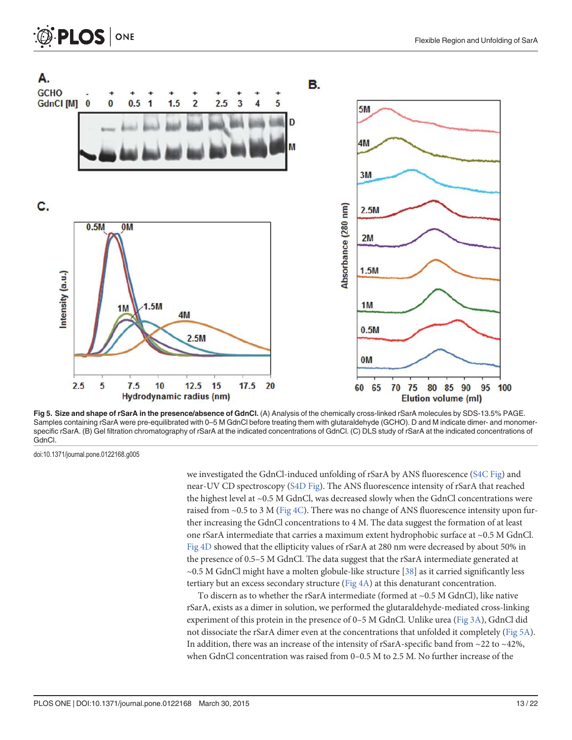



we investigated the GdnCl-induced unfolding of rSarA by ANS fluorescence (S4C Fig) and near-UV CD spectroscopy (S4D Fig). The ANS fluorescence intensity of rSarA that reached the highest level at ~0.5 M GdnCl, was decreased slowly when the GdnCl concentrations were raised from ~0.5 to 3 M (Fig 4C). There was no change of ANS fluorescence intensity upon further increasing the GdnCl concentrations to 4 M. The data suggest the formation of at least one rSarA intermediate that carries a maximum extent hydrophobic surface at ~0.5 M GdnCl. Fig 4D showed that the ellipticity values of rSarA at 280 nm were decreased by about 50% in the presence of 0.5–5 M GdnCl. The data suggest that the rSarA intermediate generated at  $\sim$ 0.5 M GdnCl might have a molten globule-like structure [38] as it carried significantly less tertiary but an excess secondary structure (Fig 4A) at this denaturant concentration.

To discern as to whether the rSarA intermediate (formed at ~0.5 M GdnCl), like native rSarA, exists as a dimer in solution, we performed the glutaraldehyde-mediated cross-linking experiment of this protein in the presence of 0–5 M GdnCl. Unlike urea ( $Fig 3A$ ), GdnCl did not dissociate the rSarA dimer even at the concentrations that unfolded it completely (Fig 5A). In addition, there was an increase of the intensity of rSarA-specific band from  $\sim$ 22 to  $\sim$ 42%, when GdnCl concentration was raised from 0–0.5 M to 2.5 M. No further increase of the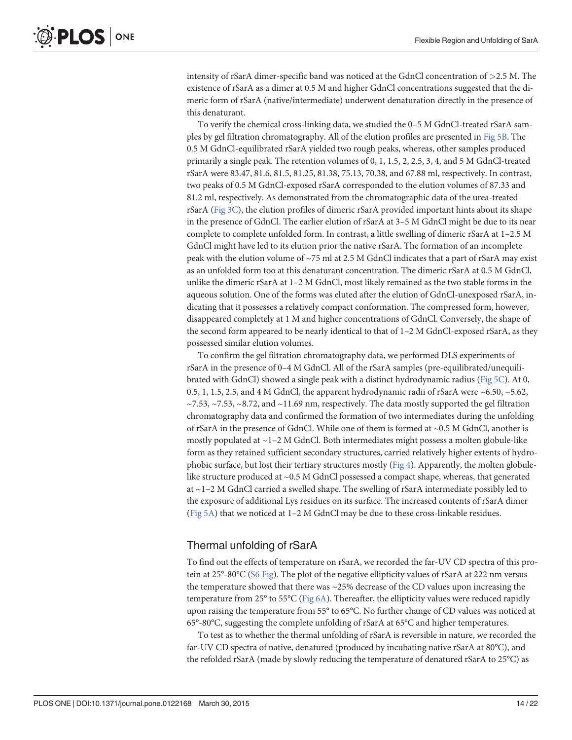intensity of rSarA dimer-specific band was noticed at the GdnCl concentration of >2.5 M. The existence of rSarA as a dimer at 0.5 M and higher GdnCl concentrations suggested that the dimeric form of rSarA (native/intermediate) underwent denaturation directly in the presence of this denaturant.

To verify the chemical cross-linking data, we studied the 0–5 M GdnCl-treated rSarA samples by gel filtration chromatography. All of the elution profiles are presented in Fig 5B. The 0.5 M GdnCl-equilibrated rSarA yielded two rough peaks, whereas, other samples produced primarily a single peak. The retention volumes of 0, 1, 1.5, 2, 2.5, 3, 4, and 5 M GdnCl-treated rSarA were 83.47, 81.6, 81.5, 81.25, 81.38, 75.13, 70.38, and 67.88 ml, respectively. In contrast, two peaks of 0.5 M GdnCl-exposed rSarA corresponded to the elution volumes of 87.33 and 81.2 ml, respectively. As demonstrated from the chromatographic data of the urea-treated rSarA (Fig 3C), the elution profiles of dimeric rSarA provided important hints about its shape in the presence of GdnCl. The earlier elution of rSarA at 3–5 M GdnCl might be due to its near complete to complete unfolded form. In contrast, a little swelling of dimeric rSarA at 1–2.5 M GdnCl might have led to its elution prior the native rSarA. The formation of an incomplete peak with the elution volume of  $\sim$ 75 ml at 2.5 M GdnCl indicates that a part of rSarA may exist as an unfolded form too at this denaturant concentration. The dimeric rSarA at 0.5 M GdnCl, unlike the dimeric rSarA at 1–2 M GdnCl, most likely remained as the two stable forms in the aqueous solution. One of the forms was eluted after the elution of GdnCl-unexposed rSarA, indicating that it possesses a relatively compact conformation. The compressed form, however, disappeared completely at 1 M and higher concentrations of GdnCl. Conversely, the shape of the second form appeared to be nearly identical to that of 1–2 M GdnCl-exposed rSarA, as they possessed similar elution volumes.

To confirm the gel filtration chromatography data, we performed DLS experiments of rSarA in the presence of 0–4 M GdnCl. All of the rSarA samples (pre-equilibrated/unequilibrated with GdnCl) showed a single peak with a distinct hydrodynamic radius (Fig 5C). At 0, 0.5, 1, 1.5, 2.5, and 4 M GdnCl, the apparent hydrodynamic radii of rSarA were  $\sim$  6.50,  $\sim$  5.62,  $\sim$ 7.53,  $\sim$ 7.53,  $\sim$ 8.72, and  $\sim$ 11.69 nm, respectively. The data mostly supported the gel filtration chromatography data and confirmed the formation of two intermediates during the unfolding of rSarA in the presence of GdnCl. While one of them is formed at  $\sim 0.5$  M GdnCl, another is mostly populated at  $\sim$  1–2 M GdnCl. Both intermediates might possess a molten globule-like form as they retained sufficient secondary structures, carried relatively higher extents of hydrophobic surface, but lost their tertiary structures mostly  $(Fig 4)$ . Apparently, the molten globulelike structure produced at ~0.5 M GdnCl possessed a compact shape, whereas, that generated at ~1–2 M GdnCl carried a swelled shape. The swelling of rSarA intermediate possibly led to the exposure of additional Lys residues on its surface. The increased contents of rSarA dimer (Fig 5A) that we noticed at 1–2 M GdnCl may be due to these cross-linkable residues.

## Thermal unfolding of rSarA

To find out the effects of temperature on rSarA, we recorded the far-UV CD spectra of this protein at 25°-80°C (S6 Fig). The plot of the negative ellipticity values of rSarA at 222 nm versus the temperature showed that there was ~25% decrease of the CD values upon increasing the temperature from 25 $\degree$  to 55 $\degree$ C (Fig 6A). Thereafter, the ellipticity values were reduced rapidly upon raising the temperature from 55° to 65°C. No further change of CD values was noticed at 65°-80°C, suggesting the complete unfolding of rSarA at 65°C and higher temperatures.

To test as to whether the thermal unfolding of rSarA is reversible in nature, we recorded the far-UV CD spectra of native, denatured (produced by incubating native rSarA at 80°C), and the refolded rSarA (made by slowly reducing the temperature of denatured rSarA to 25°C) as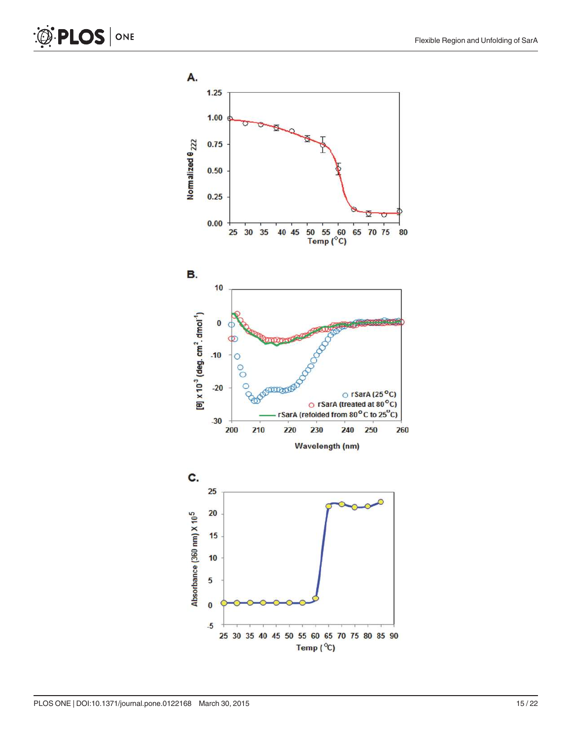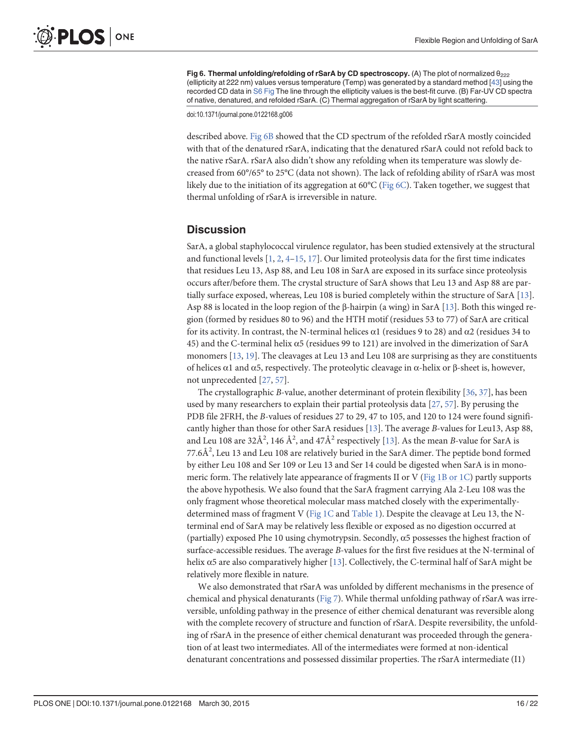Fig 6. Thermal unfolding/refolding of rSarA by CD spectroscopy. (A) The plot of normalized  $\theta_{222}$ (ellipticity at 222 nm) values versus temperature (Temp) was generated by a standard method [43] using the recorded CD data in S6 Fig The line through the ellipticity values is the best-fit curve. (B) Far-UV CD spectra of native, denatured, and refolded rSarA. (C) Thermal aggregation of rSarA by light scattering.

doi:10.1371/journal.pone.0122168.g006

described above. Fig 6B showed that the CD spectrum of the refolded rSarA mostly coincided with that of the denatured rSarA, indicating that the denatured rSarA could not refold back to the native rSarA. rSarA also didn't show any refolding when its temperature was slowly decreased from 60°/65° to 25°C (data not shown). The lack of refolding ability of rSarA was most likely due to the initiation of its aggregation at 60 $\degree$ C (Fig 6C). Taken together, we suggest that thermal unfolding of rSarA is irreversible in nature.

#### **Discussion**

SarA, a global staphylococcal virulence regulator, has been studied extensively at the structural and functional levels  $[1, 2, 4-15, 17]$ . Our limited proteolysis data for the first time indicates that residues Leu 13, Asp 88, and Leu 108 in SarA are exposed in its surface since proteolysis occurs after/before them. The crystal structure of SarA shows that Leu 13 and Asp 88 are partially surface exposed, whereas, Leu 108 is buried completely within the structure of SarA [13]. Asp 88 is located in the loop region of the β-hairpin (a wing) in SarA [13]. Both this winged region (formed by residues 80 to 96) and the HTH motif (residues 53 to 77) of SarA are critical for its activity. In contrast, the N-terminal helices α1 (residues 9 to 28) and α2 (residues 34 to 45) and the C-terminal helix α5 (residues 99 to 121) are involved in the dimerization of SarA monomers [13, 19]. The cleavages at Leu 13 and Leu 108 are surprising as they are constituents of helices α1 and α5, respectively. The proteolytic cleavage in α-helix or β-sheet is, however, not unprecedented [27, 57].

The crystallographic B-value, another determinant of protein flexibility [36, 37], has been used by many researchers to explain their partial proteolysis data [27, 57]. By perusing the PDB file 2FRH, the B-values of residues 27 to 29, 47 to 105, and 120 to 124 were found significantly higher than those for other SarA residues [13]. The average B-values for Leu13, Asp 88, and Leu 108 are 32Å<sup>2</sup>, 146 Å<sup>2</sup>, and 47Å<sup>2</sup> respectively [13]. As the mean *B*-value for SarA is 77.6 $\AA^2$ , Leu 13 and Leu 108 are relatively buried in the SarA dimer. The peptide bond formed by either Leu 108 and Ser 109 or Leu 13 and Ser 14 could be digested when SarA is in monomeric form. The relatively late appearance of fragments II or V ( $Fig 1B$  or 1C) partly supports the above hypothesis. We also found that the SarA fragment carrying Ala 2-Leu 108 was the only fragment whose theoretical molecular mass matched closely with the experimentallydetermined mass of fragment V (Fig 1C and Table 1). Despite the cleavage at Leu 13, the Nterminal end of SarA may be relatively less flexible or exposed as no digestion occurred at (partially) exposed Phe 10 using chymotrypsin. Secondly, α5 possesses the highest fraction of surface-accessible residues. The average B-values for the first five residues at the N-terminal of helix  $\alpha$ 5 are also comparatively higher [13]. Collectively, the C-terminal half of SarA might be relatively more flexible in nature.

We also demonstrated that rSarA was unfolded by different mechanisms in the presence of chemical and physical denaturants (Fig 7). While thermal unfolding pathway of rSarA was irreversible, unfolding pathway in the presence of either chemical denaturant was reversible along with the complete recovery of structure and function of rSarA. Despite reversibility, the unfolding of rSarA in the presence of either chemical denaturant was proceeded through the generation of at least two intermediates. All of the intermediates were formed at non-identical denaturant concentrations and possessed dissimilar properties. The rSarA intermediate (I1)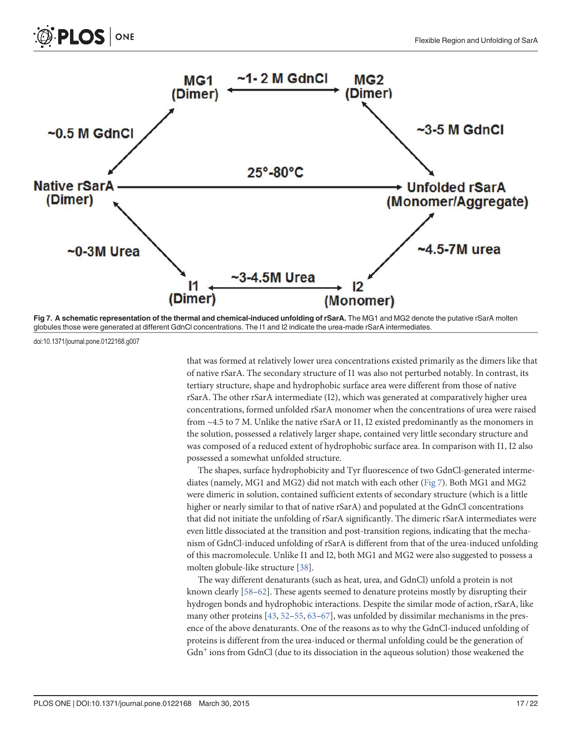



Fig 7. A schematic representation of the thermal and chemical-induced unfolding of rSarA. The MG1 and MG2 denote the putative rSarA molten globules those were generated at different GdnCl concentrations. The I1 and I2 indicate the urea-made rSarA intermediates.

that was formed at relatively lower urea concentrations existed primarily as the dimers like that of native rSarA. The secondary structure of I1 was also not perturbed notably. In contrast, its tertiary structure, shape and hydrophobic surface area were different from those of native rSarA. The other rSarA intermediate (I2), which was generated at comparatively higher urea concentrations, formed unfolded rSarA monomer when the concentrations of urea were raised from ~4.5 to 7 M. Unlike the native rSarA or I1, I2 existed predominantly as the monomers in the solution, possessed a relatively larger shape, contained very little secondary structure and was composed of a reduced extent of hydrophobic surface area. In comparison with I1, I2 also possessed a somewhat unfolded structure.

The shapes, surface hydrophobicity and Tyr fluorescence of two GdnCl-generated intermediates (namely, MG1 and MG2) did not match with each other (Fig 7). Both MG1 and MG2 were dimeric in solution, contained sufficient extents of secondary structure (which is a little higher or nearly similar to that of native rSarA) and populated at the GdnCl concentrations that did not initiate the unfolding of rSarA significantly. The dimeric rSarA intermediates were even little dissociated at the transition and post-transition regions, indicating that the mechanism of GdnCl-induced unfolding of rSarA is different from that of the urea-induced unfolding of this macromolecule. Unlike I1 and I2, both MG1 and MG2 were also suggested to possess a molten globule-like structure [38].

The way different denaturants (such as heat, urea, and GdnCl) unfold a protein is not known clearly [58–62]. These agents seemed to denature proteins mostly by disrupting their hydrogen bonds and hydrophobic interactions. Despite the similar mode of action, rSarA, like many other proteins [43, 52-55, 63-67], was unfolded by dissimilar mechanisms in the presence of the above denaturants. One of the reasons as to why the GdnCl-induced unfolding of proteins is different from the urea-induced or thermal unfolding could be the generation of Gdn<sup>+</sup> ions from GdnCl (due to its dissociation in the aqueous solution) those weakened the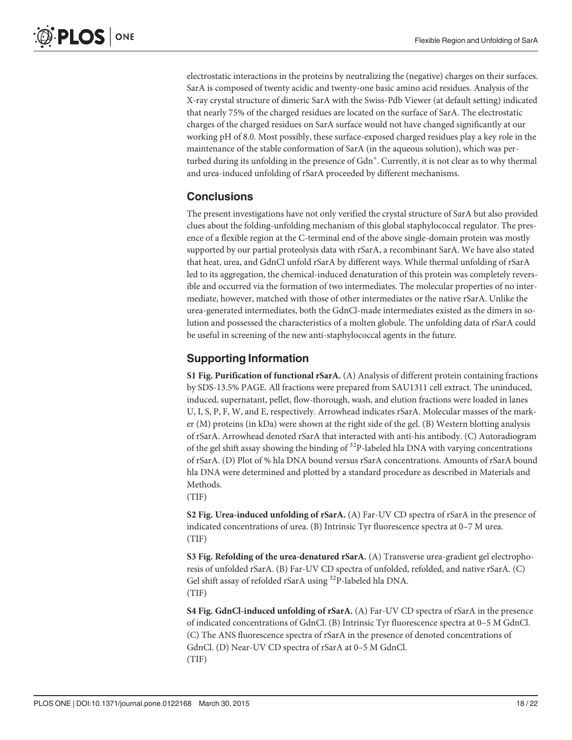electrostatic interactions in the proteins by neutralizing the (negative) charges on their surfaces. SarA is composed of twenty acidic and twenty-one basic amino acid residues. Analysis of the X-ray crystal structure of dimeric SarA with the Swiss-Pdb Viewer (at default setting) indicated that nearly 75% of the charged residues are located on the surface of SarA. The electrostatic charges of the charged residues on SarA surface would not have changed significantly at our working pH of 8.0. Most possibly, these surface-exposed charged residues play a key role in the maintenance of the stable conformation of SarA (in the aqueous solution), which was perturbed during its unfolding in the presence of Gdn<sup>+</sup>. Currently, it is not clear as to why thermal and urea-induced unfolding of rSarA proceeded by different mechanisms.

## **Conclusions**

The present investigations have not only verified the crystal structure of SarA but also provided clues about the folding-unfolding mechanism of this global staphylococcal regulator. The presence of a flexible region at the C-terminal end of the above single-domain protein was mostly supported by our partial proteolysis data with rSarA, a recombinant SarA. We have also stated that heat, urea, and GdnCl unfold rSarA by different ways. While thermal unfolding of rSarA led to its aggregation, the chemical-induced denaturation of this protein was completely reversible and occurred via the formation of two intermediates. The molecular properties of no intermediate, however, matched with those of other intermediates or the native rSarA. Unlike the urea-generated intermediates, both the GdnCl-made intermediates existed as the dimers in solution and possessed the characteristics of a molten globule. The unfolding data of rSarA could be useful in screening of the new anti-staphylococcal agents in the future.

## Supporting Information

S1 Fig. Purification of functional rSarA. (A) Analysis of different protein containing fractions by SDS-13.5% PAGE. All fractions were prepared from SAU1311 cell extract. The uninduced, induced, supernatant, pellet, flow-thorough, wash, and elution fractions were loaded in lanes U, I, S, P, F, W, and E, respectively. Arrowhead indicates rSarA. Molecular masses of the marker (M) proteins (in kDa) were shown at the right side of the gel. (B) Western blotting analysis of rSarA. Arrowhead denoted rSarA that interacted with anti-his antibody. (C) Autoradiogram of the gel shift assay showing the binding of  $32P$ -labeled hla DNA with varying concentrations of rSarA. (D) Plot of % hla DNA bound versus rSarA concentrations. Amounts of rSarA bound hla DNA were determined and plotted by a standard procedure as described in Materials and Methods.

(TIF)

S2 Fig. Urea-induced unfolding of rSarA. (A) Far-UV CD spectra of rSarA in the presence of indicated concentrations of urea. (B) Intrinsic Tyr fluorescence spectra at 0–7 M urea. (TIF)

S3 Fig. Refolding of the urea-denatured rSarA. (A) Transverse urea-gradient gel electrophoresis of unfolded rSarA. (B) Far-UV CD spectra of unfolded, refolded, and native rSarA. (C) Gel shift assay of refolded rSarA using <sup>32</sup>P-labeled hla DNA. (TIF)

S4 Fig. GdnCl-induced unfolding of rSarA. (A) Far-UV CD spectra of rSarA in the presence of indicated concentrations of GdnCl. (B) Intrinsic Tyr fluorescence spectra at 0–5 M GdnCl. (C) The ANS fluorescence spectra of rSarA in the presence of denoted concentrations of GdnCl. (D) Near-UV CD spectra of rSarA at 0–5 M GdnCl. (TIF)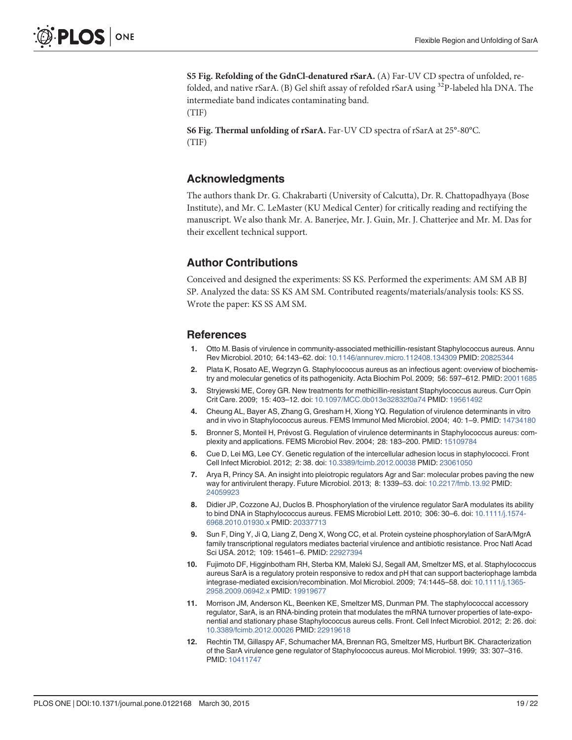S5 Fig. Refolding of the GdnCl-denatured rSarA. (A) Far-UV CD spectra of unfolded, refolded, and native rSarA. (B) Gel shift assay of refolded rSarA using <sup>32</sup>P-labeled hla DNA. The intermediate band indicates contaminating band.

(TIF)

S6 Fig. Thermal unfolding of rSarA. Far-UV CD spectra of rSarA at 25°-80°C. (TIF)

#### Acknowledgments

The authors thank Dr. G. Chakrabarti (University of Calcutta), Dr. R. Chattopadhyaya (Bose Institute), and Mr. C. LeMaster (KU Medical Center) for critically reading and rectifying the manuscript. We also thank Mr. A. Banerjee, Mr. J. Guin, Mr. J. Chatterjee and Mr. M. Das for their excellent technical support.

#### Author Contributions

Conceived and designed the experiments: SS KS. Performed the experiments: AM SM AB BJ SP. Analyzed the data: SS KS AM SM. Contributed reagents/materials/analysis tools: KS SS. Wrote the paper: KS SS AM SM.

#### **References**

- 1. Otto M. Basis of virulence in community-associated methicillin-resistant Staphylococcus aureus. Annu Rev Microbiol. 2010; 64:143–62. doi: 10.1146/annurev.micro.112408.134309 PMID: 20825344
- 2. Plata K, Rosato AE, Wegrzyn G. Staphylococcus aureus as an infectious agent: overview of biochemistry and molecular genetics of its pathogenicity. Acta Biochim Pol. 2009; 56: 597-612. PMID: 20011685
- 3. Stryjewski ME, Corey GR. New treatments for methicillin-resistant Staphylococcus aureus. Curr Opin Crit Care. 2009; 15: 403–12. doi: 10.1097/MCC.0b013e32832f0a74 PMID: 19561492
- 4. Cheung AL, Bayer AS, Zhang G, Gresham H, Xiong YQ. Regulation of virulence determinants in vitro and in vivo in Staphylococcus aureus. FEMS Immunol Med Microbiol. 2004; 40: 1–9. PMID: 14734180
- 5. Bronner S, Monteil H, Prévost G. Regulation of virulence determinants in Staphylococcus aureus: complexity and applications. FEMS Microbiol Rev. 2004; 28: 183–200. PMID: 15109784
- 6. Cue D, Lei MG, Lee CY. Genetic regulation of the intercellular adhesion locus in staphylococci. Front Cell Infect Microbiol. 2012; 2: 38. doi: 10.3389/fcimb.2012.00038 PMID: 23061050
- 7. Arya R, Princy SA. An insight into pleiotropic regulators Agr and Sar: molecular probes paving the new way for antivirulent therapy. Future Microbiol. 2013; 8: 1339–53. doi: 10.2217/fmb.13.92 PMID: 24059923
- 8. Didier JP, Cozzone AJ, Duclos B. Phosphorylation of the virulence regulator SarA modulates its ability to bind DNA in Staphylococcus aureus. FEMS Microbiol Lett. 2010; 306: 30-6. doi: 10.1111/j.1574-6968.2010.01930.x PMID: 20337713
- 9. Sun F, Ding Y, Ji Q, Liang Z, Deng X, Wong CC, et al. Protein cysteine phosphorylation of SarA/MgrA family transcriptional regulators mediates bacterial virulence and antibiotic resistance. Proc Natl Acad Sci USA. 2012; 109: 15461–6. PMID: 22927394
- 10. Fujimoto DF, Higginbotham RH, Sterba KM, Maleki SJ, Segall AM, Smeltzer MS, et al. Staphylococcus aureus SarA is a regulatory protein responsive to redox and pH that can support bacteriophage lambda integrase-mediated excision/recombination. Mol Microbiol. 2009; 74:1445–58. doi: 10.1111/j.1365- 2958.2009.06942.x PMID: 19919677
- 11. Morrison JM, Anderson KL, Beenken KE, Smeltzer MS, Dunman PM. The staphylococcal accessory regulator, SarA, is an RNA-binding protein that modulates the mRNA turnover properties of late-exponential and stationary phase Staphylococcus aureus cells. Front. Cell Infect Microbiol. 2012; 2: 26. doi: 10.3389/fcimb.2012.00026 PMID: 22919618
- 12. Rechtin TM, Gillaspy AF, Schumacher MA, Brennan RG, Smeltzer MS, Hurlburt BK. Characterization of the SarA virulence gene regulator of Staphylococcus aureus. Mol Microbiol. 1999; 33: 307–316. PMID: 10411747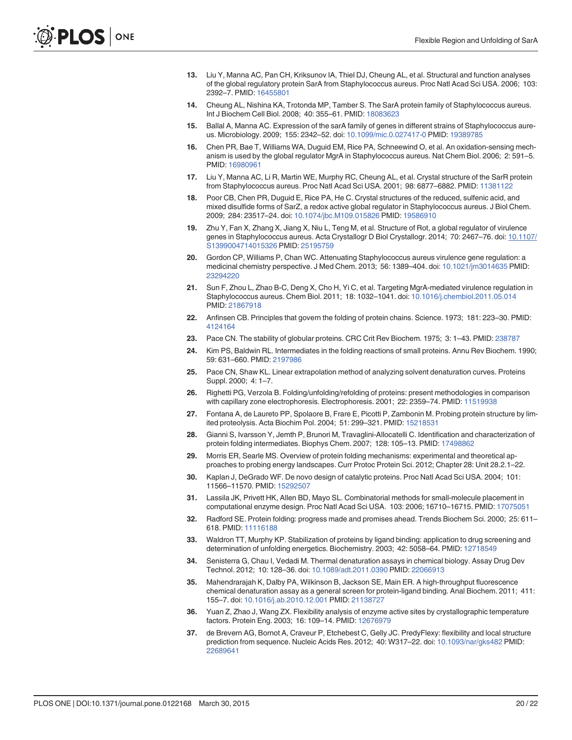- 13. Liu Y, Manna AC, Pan CH, Kriksunov IA, Thiel DJ, Cheung AL, et al. Structural and function analyses of the global regulatory protein SarA from Staphylococcus aureus. Proc Natl Acad Sci USA. 2006; 103: 2392–7. PMID: 16455801
- 14. Cheung AL, Nishina KA, Trotonda MP, Tamber S. The SarA protein family of Staphylococcus aureus. Int J Biochem Cell Biol. 2008; 40: 355–61. PMID: 18083623
- 15. Ballal A, Manna AC. Expression of the sarA family of genes in different strains of Staphylococcus aureus. Microbiology. 2009; 155: 2342–52. doi: 10.1099/mic.0.027417-0 PMID: 19389785
- 16. Chen PR, Bae T, Williams WA, Duguid EM, Rice PA, Schneewind O, et al. An oxidation-sensing mechanism is used by the global regulator MgrA in Staphylococcus aureus. Nat Chem Biol. 2006; 2: 591–5. PMID: 16980961
- 17. Liu Y, Manna AC, Li R, Martin WE, Murphy RC, Cheung AL, et al. Crystal structure of the SarR protein from Staphylococcus aureus. Proc Natl Acad Sci USA. 2001; 98: 6877–6882. PMID: 11381122
- 18. Poor CB, Chen PR, Duguid E, Rice PA, He C. Crystal structures of the reduced, sulfenic acid, and mixed disulfide forms of SarZ, a redox active global regulator in Staphylococcus aureus. J Biol Chem. 2009; 284: 23517–24. doi: 10.1074/jbc.M109.015826 PMID: 19586910
- 19. Zhu Y, Fan X, Zhang X, Jiang X, Niu L, Teng M, et al. Structure of Rot, a global regulator of virulence genes in Staphylococcus aureus. Acta Crystallogr D Biol Crystallogr. 2014; 70: 2467–76. doi: 10.1107/ S1399004714015326 PMID: 25195759
- 20. Gordon CP, Williams P, Chan WC. Attenuating Staphylococcus aureus virulence gene regulation: a medicinal chemistry perspective. J Med Chem. 2013; 56: 1389–404. doi: 10.1021/jm3014635 PMID: 23294220
- 21. Sun F, Zhou L, Zhao B-C, Deng X, Cho H, Yi C, et al. Targeting MgrA-mediated virulence regulation in Staphylococcus aureus. Chem Biol. 2011; 18: 1032–1041. doi: 10.1016/j.chembiol.2011.05.014 PMID: 21867918
- 22. Anfinsen CB. Principles that govern the folding of protein chains. Science. 1973; 181: 223–30. PMID: 4124164
- 23. Pace CN. The stability of globular proteins. CRC Crit Rev Biochem. 1975; 3: 1-43. PMID: 238787
- 24. Kim PS, Baldwin RL. Intermediates in the folding reactions of small proteins. Annu Rev Biochem. 1990; 59: 631–660. PMID: 2197986
- 25. Pace CN, Shaw KL. Linear extrapolation method of analyzing solvent denaturation curves. Proteins Suppl. 2000; 4: 1–7.
- 26. Righetti PG, Verzola B. Folding/unfolding/refolding of proteins: present methodologies in comparison with capillary zone electrophoresis. Electrophoresis. 2001; 22: 2359–74. PMID: 11519938
- 27. Fontana A, de Laureto PP, Spolaore B, Frare E, Picotti P, Zambonin M. Probing protein structure by limited proteolysis. Acta Biochim Pol. 2004; 51: 299–321. PMID: 15218531
- 28. Gianni S, Ivarsson Y, Jemth P, Brunori M, Travaglini-Allocatelli C. Identification and characterization of protein folding intermediates. Biophys Chem. 2007; 128: 105–13. PMID: 17498862
- 29. Morris ER, Searle MS. Overview of protein folding mechanisms: experimental and theoretical approaches to probing energy landscapes. Curr Protoc Protein Sci. 2012; Chapter 28: Unit 28.2.1–22.
- 30. Kaplan J, DeGrado WF. De novo design of catalytic proteins. Proc Natl Acad Sci USA. 2004; 101: 11566–11570. PMID: 15292507
- 31. Lassila JK, Privett HK, Allen BD, Mayo SL. Combinatorial methods for small-molecule placement in computational enzyme design. Proc Natl Acad Sci USA. 103: 2006; 16710–16715. PMID: 17075051
- 32. Radford SE. Protein folding: progress made and promises ahead. Trends Biochem Sci. 2000; 25: 611– 618. PMID: 11116188
- 33. Waldron TT, Murphy KP. Stabilization of proteins by ligand binding: application to drug screening and determination of unfolding energetics. Biochemistry. 2003; 42: 5058–64. PMID: 12718549
- 34. Senisterra G, Chau I, Vedadi M. Thermal denaturation assays in chemical biology. Assay Drug Dev Technol. 2012; 10: 128–36. doi: 10.1089/adt.2011.0390 PMID: 22066913
- 35. Mahendrarajah K, Dalby PA, Wilkinson B, Jackson SE, Main ER. A high-throughput fluorescence chemical denaturation assay as a general screen for protein-ligand binding. Anal Biochem. 2011; 411: 155–7. doi: 10.1016/j.ab.2010.12.001 PMID: 21138727
- 36. Yuan Z, Zhao J, Wang ZX. Flexibility analysis of enzyme active sites by crystallographic temperature factors. Protein Eng. 2003; 16: 109–14. PMID: 12676979
- 37. de Brevern AG, Bornot A, Craveur P, Etchebest C, Gelly JC. PredyFlexy: flexibility and local structure prediction from sequence. Nucleic Acids Res. 2012; 40: W317-22. doi: 10.1093/nar/gks482 PMID: 22689641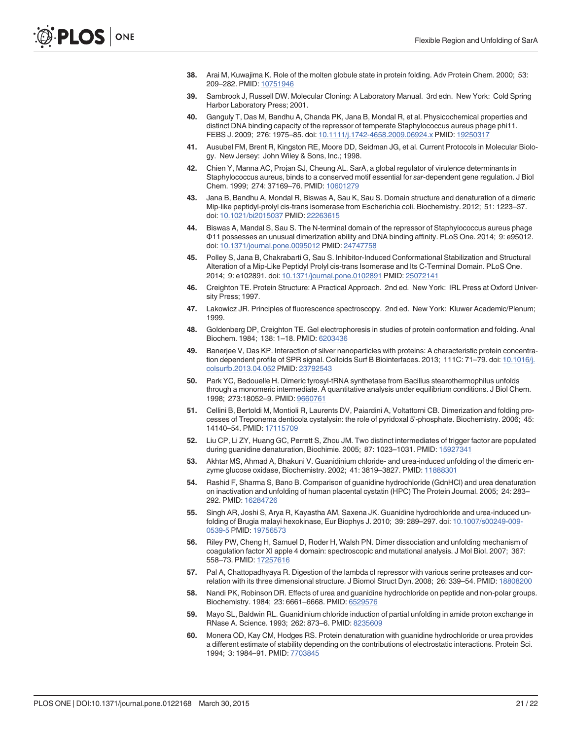- 38. Arai M, Kuwajima K. Role of the molten globule state in protein folding. Adv Protein Chem. 2000; 53: 209–282. PMID: 10751946
- 39. Sambrook J, Russell DW. Molecular Cloning: A Laboratory Manual. 3rd edn. New York: Cold Spring Harbor Laboratory Press; 2001.
- 40. Ganguly T, Das M, Bandhu A, Chanda PK, Jana B, Mondal R, et al. Physicochemical properties and distinct DNA binding capacity of the repressor of temperate Staphylococcus aureus phage phi11. FEBS J. 2009; 276: 1975–85. doi: 10.1111/j.1742-4658.2009.06924.x PMID: 19250317
- 41. Ausubel FM, Brent R, Kingston RE, Moore DD, Seidman JG, et al. Current Protocols in Molecular Biology. New Jersey: John Wiley & Sons, Inc.; 1998.
- 42. Chien Y, Manna AC, Projan SJ, Cheung AL. SarA, a global regulator of virulence determinants in Staphylococcus aureus, binds to a conserved motif essential for sar-dependent gene regulation. J Biol Chem. 1999; 274: 37169–76. PMID: 10601279
- 43. Jana B, Bandhu A, Mondal R, Biswas A, Sau K, Sau S. Domain structure and denaturation of a dimeric Mip-like peptidyl-prolyl cis-trans isomerase from Escherichia coli. Biochemistry. 2012; 51: 1223–37. doi: 10.1021/bi2015037 PMID: 22263615
- 44. Biswas A, Mandal S, Sau S. The N-terminal domain of the repressor of Staphylococcus aureus phage Φ11 possesses an unusual dimerization ability and DNA binding affinity. PLoS One. 2014; 9: e95012. doi: 10.1371/journal.pone.0095012 PMID: 24747758
- 45. Polley S, Jana B, Chakrabarti G, Sau S. Inhibitor-Induced Conformational Stabilization and Structural Alteration of a Mip-Like Peptidyl Prolyl cis-trans Isomerase and Its C-Terminal Domain. PLoS One. 2014; 9: e102891. doi: 10.1371/journal.pone.0102891 PMID: 25072141
- 46. Creighton TE. Protein Structure: A Practical Approach. 2nd ed. New York: IRL Press at Oxford University Press; 1997.
- 47. Lakowicz JR. Principles of fluorescence spectroscopy. 2nd ed. New York: Kluwer Academic/Plenum; 1999.
- 48. Goldenberg DP, Creighton TE. Gel electrophoresis in studies of protein conformation and folding. Anal Biochem. 1984; 138: 1–18. PMID: 6203436
- 49. Banerjee V, Das KP. Interaction of silver nanoparticles with proteins: A characteristic protein concentration dependent profile of SPR signal. Colloids Surf B Biointerfaces. 2013; 111C: 71-79. doi: 10.1016/j. colsurfb.2013.04.052 PMID: 23792543
- 50. Park YC, Bedouelle H. Dimeric tyrosyl-tRNA synthetase from Bacillus stearothermophilus unfolds through a monomeric intermediate. A quantitative analysis under equilibrium conditions. J Biol Chem. 1998; 273:18052–9. PMID: 9660761
- 51. Cellini B, Bertoldi M, Montioli R, Laurents DV, Paiardini A, Voltattorni CB. Dimerization and folding processes of Treponema denticola cystalysin: the role of pyridoxal 5'-phosphate. Biochemistry. 2006; 45: 14140–54. PMID: 17115709
- 52. Liu CP, Li ZY, Huang GC, Perrett S, Zhou JM. Two distinct intermediates of trigger factor are populated during guanidine denaturation, Biochimie. 2005; 87: 1023–1031. PMID: 15927341
- 53. Akhtar MS, Ahmad A, Bhakuni V. Guanidinium chloride- and urea-induced unfolding of the dimeric enzyme glucose oxidase, Biochemistry. 2002; 41: 3819–3827. PMID: 11888301
- 54. Rashid F, Sharma S, Bano B. Comparison of guanidine hydrochloride (GdnHCl) and urea denaturation on inactivation and unfolding of human placental cystatin (HPC) The Protein Journal. 2005; 24: 283– 292. PMID: 16284726
- 55. Singh AR, Joshi S, Arya R, Kayastha AM, Saxena JK. Guanidine hydrochloride and urea-induced unfolding of Brugia malayi hexokinase, Eur Biophys J. 2010; 39: 289–297. doi: 10.1007/s00249-009- 0539-5 PMID: 19756573
- 56. Riley PW, Cheng H, Samuel D, Roder H, Walsh PN. Dimer dissociation and unfolding mechanism of coagulation factor XI apple 4 domain: spectroscopic and mutational analysis. J Mol Biol. 2007; 367: 558–73. PMID: 17257616
- 57. Pal A, Chattopadhyaya R. Digestion of the lambda cI repressor with various serine proteases and correlation with its three dimensional structure. J Biomol Struct Dyn. 2008; 26: 339–54. PMID: 18808200
- 58. Nandi PK, Robinson DR. Effects of urea and guanidine hydrochloride on peptide and non-polar groups. Biochemistry. 1984; 23: 6661–6668. PMID: 6529576
- 59. Mayo SL, Baldwin RL. Guanidinium chloride induction of partial unfolding in amide proton exchange in RNase A. Science. 1993; 262: 873–6. PMID: 8235609
- 60. Monera OD, Kay CM, Hodges RS. Protein denaturation with guanidine hydrochloride or urea provides a different estimate of stability depending on the contributions of electrostatic interactions. Protein Sci. 1994; 3: 1984-91. PMID: 7703845